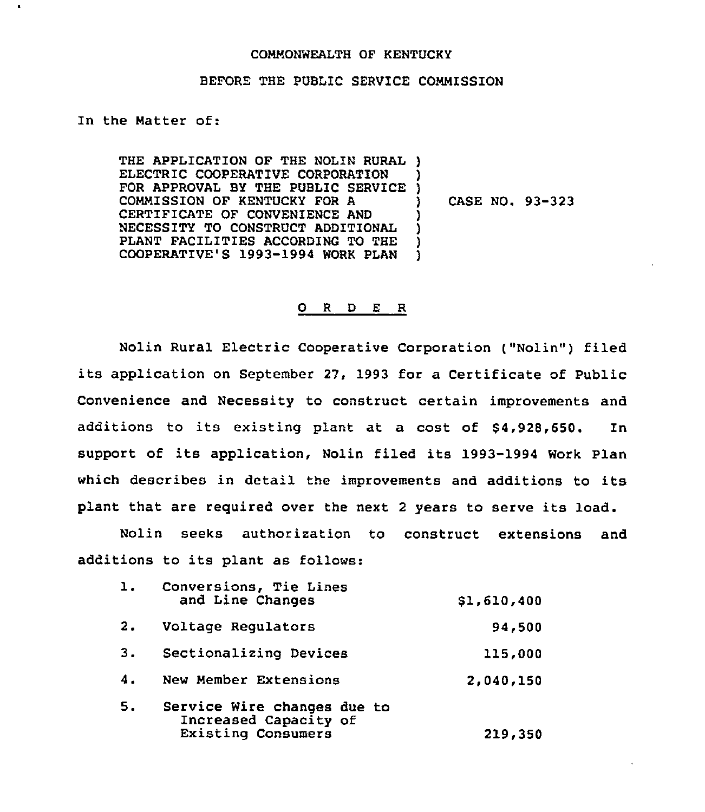## COMMONWEALTH OF KENTUCKY

## BEFORE THE PUBLIC SERVICE COMMISSION

## In the Matter of:

 $\mathbf{t}$ 

THE APPLICATION OF THE NOLIN RURAL) ELECTRIC COOPERATIVE CORPORATION FOR APPROVAL BY THE PUBLIC SERVICE COMMISSION OF KENTUCKY FOR A CERTIFICATE OF CONVENIENCE AND NECESSITY TO CONSTRUCT ADDITIONAL PLANT FACILITIES ACCORDING TO THE COOPERATIVE'S 1993-1994 WORK PLAN ) ) ) ) ) )

) CASE NO. 93-323

## 0 <sup>R</sup> <sup>D</sup> E R

Nolin Rural Electric Cooperative Corporation ("Nolin") filed its application on September 27, 1993 for a Certificate of Public Convenience and Necessity to construct certain improvements and additions to its existing plant at a cost of 84,928,650. In support of its application, Nolin filed its 1993-1994 Work Plan which describes in detail the improvements and additions to its plant that are required over the next <sup>2</sup> years to serve its load.

Nolin seeks authorization to construct extensions and additions to its plant as follows:

| ı. | Conversions, Tie Lines<br>and Line Changes                                        | \$1,610,400 |
|----|-----------------------------------------------------------------------------------|-------------|
| 2. | Voltage Regulators                                                                | 94,500      |
| 3. | Sectionalizing Devices                                                            | 115,000     |
| 4. | New Member Extensions                                                             | 2,040,150   |
| 5. | Service Wire changes due to<br>Increased Capacity of<br><b>Existing Consumers</b> | 219,350     |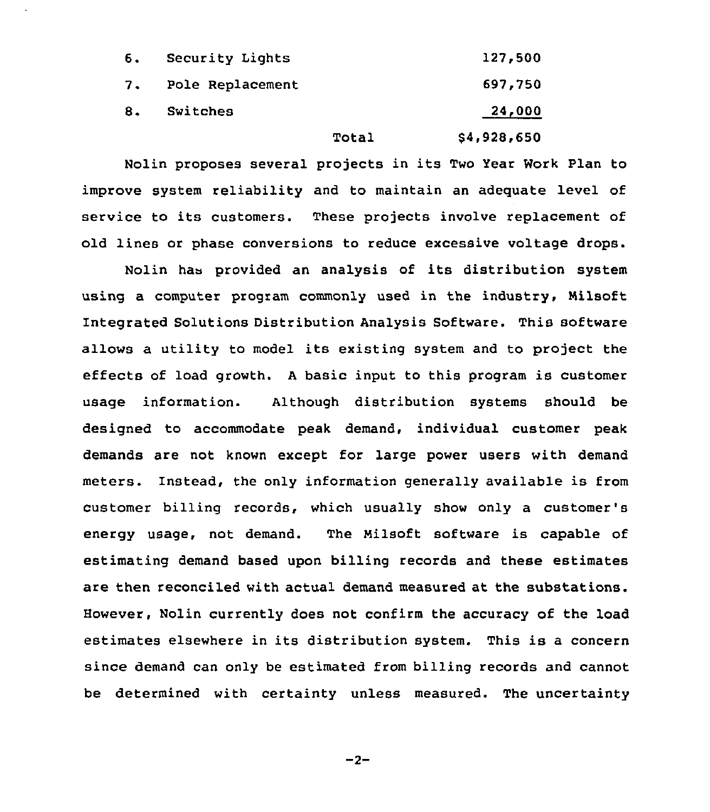|    |                  | Total | \$4,928,650 |
|----|------------------|-------|-------------|
| 8. | Switches         |       | 24,000      |
| 7. | Pole Replacement |       | 697,750     |
| 6. | Security Lights  |       | 127,500     |

Nolin proposes several projects in its Two Year Work Plan to improve system reliability and to maintain an adequate level of service to its customers. These projects involve replacement of old lines or phase conversions to reduce excessive voltage drops.

Nolin has provided an analysis of its distribution system using a computer program commonly used in the industry, Milsoft Integrated Solutions Distribution Analysis Software. This software allows a utility to model its existing system and to project the effects of load growth. <sup>A</sup> basic input to this program is customer usage information. Although distribution systems should be designed to accommodate peak demand, individual customer peak demands are not known except for large power users with demand meters. Instead, the only information generally available is from customer billing records, which usually show only a customer's energy usage, not demand. The Nilsoft software is capable of estimating demand based upon billing records and these estimates are then reconciled with actual demand measured at the substations. However, Nolin currently does not confirm the accuracy of the load estimates elsewhere in its distribution system. This is <sup>a</sup> concern since demand can only be estimated from billing records and cannot be determined with certainty unless measured. The uncertainty

 $-2-$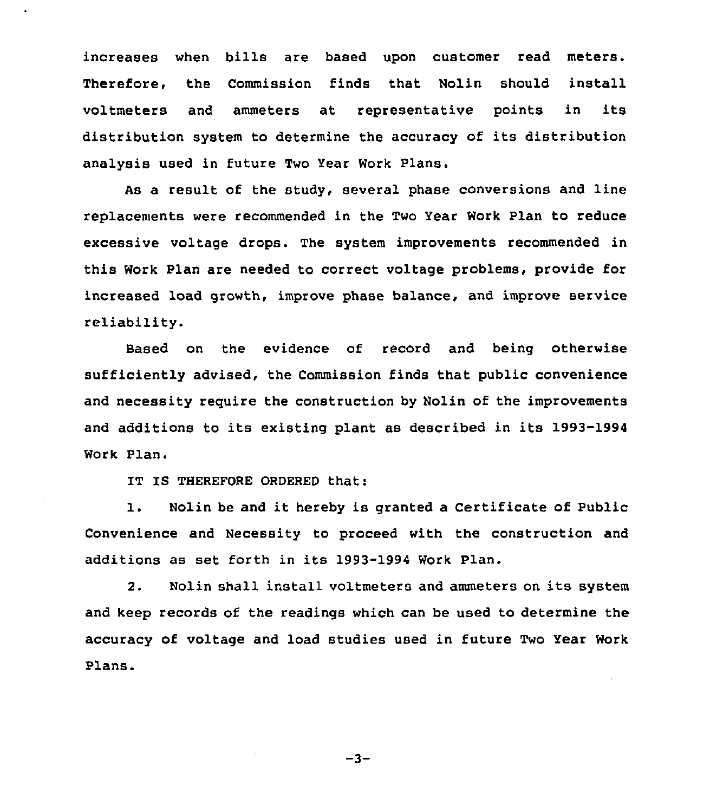increases when bills are based upon customer read meters. Therefore, the Commission finds that Nolin should install voltmeters and ammeters at representative points in its distribution system to determine the accuracy of its distribution analysis used in future Two Year Work Plans.

As a result of the study, several phase conversions and line replacements were recommended in the Two Year Work Plan to reduce excessive voltage drops. The system improvements recommended in this Work Plan are needed to correct voltage problems, provide for increased load growth, improve phase balance, and improve service reliability.

Based on the evidence of record and being otherwise sufficiently advised, the Commission finds that public convenience and necessity require the construction by Nolin of the improvements and additions to its existing plant as described in its 1993-1994 Work Plan.

IT IS THEREFORE ORDERED that:

l. Nolin be and it hereby is granted <sup>a</sup> Certificate of Public Convenience and Necessity to proceed with the construction and additions as set forth in its 1993-1994 Work Plan.

2. Nolin shall install voltmeters and ammeters on its system and keep records of the readings which can be used to determine the accuracy of voltage and load studies used in future Two Year Work Plans.

 $-3-$